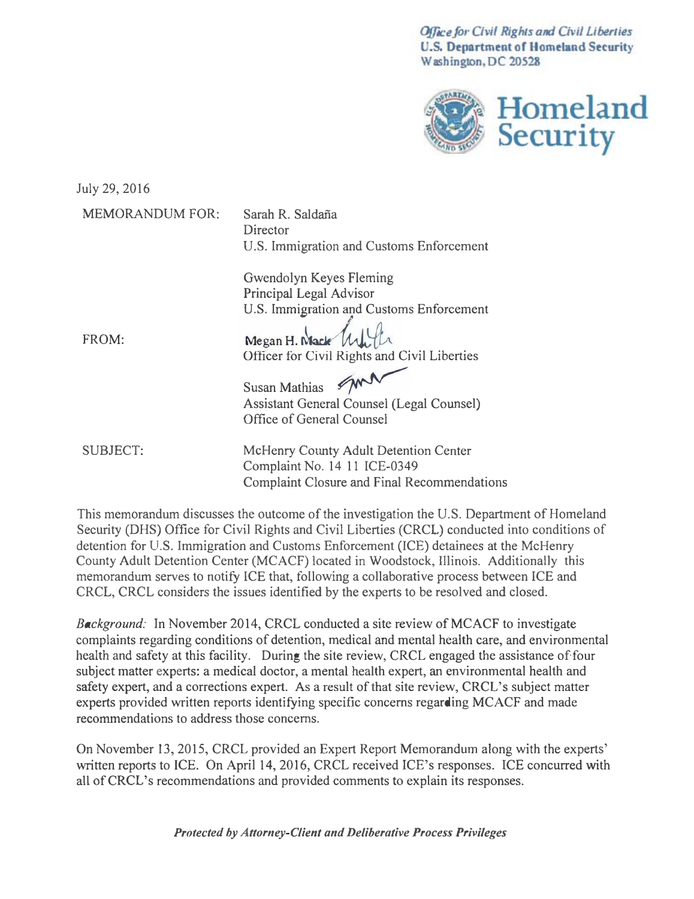Office for Civil Rights and Civil Liberties U.S. Department of Homeland Security Washington, DC 20528



July 29, 2016

MEMORANDUM FOR: Sarah R. Saldaña

**Director** U.S. Immigration and Customs Enforcement

Gwendolyn Keyes Fleming Principal Legal Advisor U.S. Immigration and Customs Enforcement

FROM:

Megan H. Mack Officer for Civil Rights and Civil Liberties

m Susan Mathias Assistant General Counsel (Legal Counsel) Office of General Counsel

SUBJECT: McHenry County Adult Detention Center Complaint No. 14 11 ICE-0349 Complaint Closure and Final Recommendations

This memorandum discusses the outcome of the investigation the U.S. Department of Homeland Security (DHS) Office for Civil Rights and Civil Liberties (CRCL) conducted into conditions of detention for U.S. Immigration and Customs Enforcement (ICE) detainees at the McHenry County Adult Detention Center (MCACF) located in Woodstock, Illinois. Additionally this memorandum serves to notify ICE that, following a collaborative process between ICE and CRCL, CRCL considers the issues identified by the experts to be resolved and closed.

*Background:* In November 2014, CRCL conducted a site review of MCACF to investigate complaints regarding conditions of detention, medical and mental health care, and environmental health and safety at this facility. During the site review, CRCL engaged the assistance of four subject matter experts: a medical doctor, a mental health expert, an environmental health and safety expert, and a corrections expert. As a result of that site review, CRCL's subject matter experts provided written reports identifying specific concerns regarding MCACF and made recommendations to address those concerns.

On November 13, 2015, CRCL provided an Expert Report Memorandwn along with the experts' written reports to ICE. On April 14, 2016, CRCL received ICE's responses. ICE concurred with all of CRCL's recommendations and provided comments to explain its responses.

*Protected by Attorney-Client and Deliberative Process Privileges*